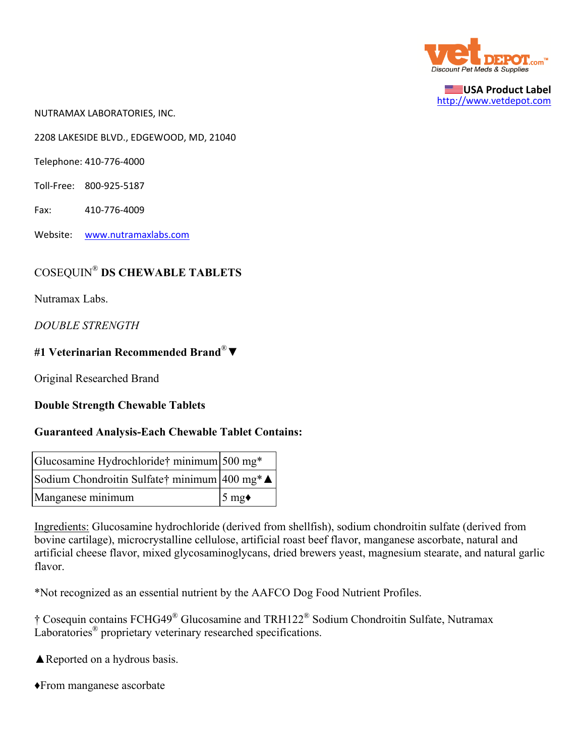

**USA Product Label** http://www.vetdepot.com

NUTRAMAX LABORATORIES, INC.

2208 LAKESIDE BLVD., EDGEWOOD, MD, 21040

Telephone: 410‐776‐4000

- Toll‐Free: 800‐925‐5187
- Fax: 410‐776‐4009
- Website: www.nutramaxlabs.com

# COSEQUIN® **DS CHEWABLE TABLETS**

Nutramax Labs.

*DOUBLE STRENGTH*

### **#1 Veterinarian Recommended Brand**®▼

Original Researched Brand

#### **Double Strength Chewable Tablets**

#### **Guaranteed Analysis-Each Chewable Tablet Contains:**

| Glucosamine Hydrochloride† minimum 500 mg*   |                |
|----------------------------------------------|----------------|
| Sodium Chondroitin Sulfate† minimum 400 mg*▲ |                |
| Manganese minimum                            | $5 \text{ mg}$ |

Ingredients: Glucosamine hydrochloride (derived from shellfish), sodium chondroitin sulfate (derived from bovine cartilage), microcrystalline cellulose, artificial roast beef flavor, manganese ascorbate, natural and artificial cheese flavor, mixed glycosaminoglycans, dried brewers yeast, magnesium stearate, and natural garlic flavor.

\*Not recognized as an essential nutrient by the AAFCO Dog Food Nutrient Profiles.

† Cosequin contains FCHG49® Glucosamine and TRH122® Sodium Chondroitin Sulfate, Nutramax Laboratories<sup>®</sup> proprietary veterinary researched specifications.

**▲Reported on a hydrous basis.** 

♦From manganese ascorbate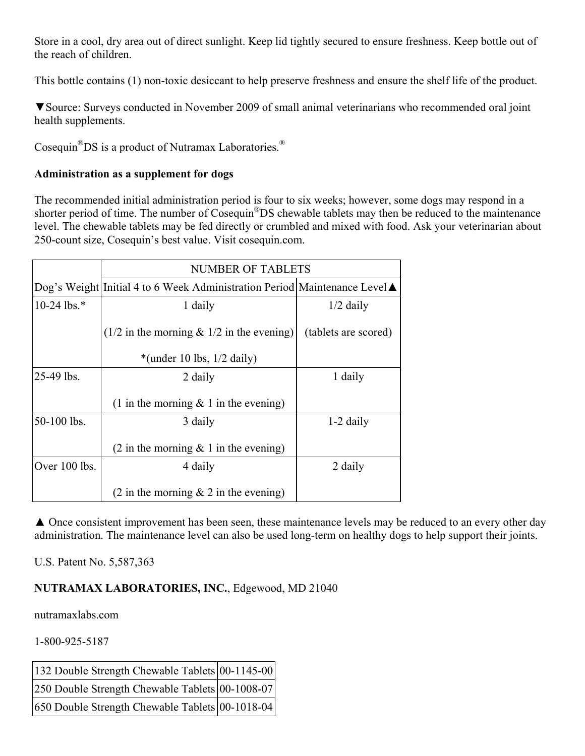Store in a cool, dry area out of direct sunlight. Keep lid tightly secured to ensure freshness. Keep bottle out of the reach of children.

This bottle contains (1) non-toxic desiccant to help preserve freshness and ensure the shelf life of the product.

▼Source: Surveys conducted in November 2009 of small animal veterinarians who recommended oral joint health supplements.

Cosequin®DS is a product of Nutramax Laboratories.®

## **Administration as a supplement for dogs**

The recommended initial administration period is four to six weeks; however, some dogs may respond in a shorter period of time. The number of Cosequin®DS chewable tablets may then be reduced to the maintenance level. The chewable tablets may be fed directly or crumbled and mixed with food. Ask your veterinarian about 250-count size, Cosequin's best value. Visit cosequin.com.

|               | <b>NUMBER OF TABLETS</b>                                                   |                      |  |
|---------------|----------------------------------------------------------------------------|----------------------|--|
|               | Dog's Weight Initial 4 to 6 Week Administration Period Maintenance Level ▲ |                      |  |
| $10-24$ lbs.* | 1 daily                                                                    | $1/2$ daily          |  |
|               | $(1/2)$ in the morning & $1/2$ in the evening)                             | (tablets are scored) |  |
|               | *(under 10 lbs, $1/2$ daily)                                               |                      |  |
| $25-49$ lbs.  | 2 daily                                                                    | 1 daily              |  |
|               | (1 in the morning $& 1$ in the evening)                                    |                      |  |
| 50-100 lbs.   | 3 daily                                                                    | $1-2$ daily          |  |
|               | $(2 \text{ in the morning } \& 1 \text{ in the evening})$                  |                      |  |
| Over 100 lbs. | 4 daily                                                                    | 2 daily              |  |
|               | $(2 \text{ in the morning } \& 2 \text{ in the evening})$                  |                      |  |

▲ Once consistent improvement has been seen, these maintenance levels may be reduced to an every other day administration. The maintenance level can also be used long-term on healthy dogs to help support their joints.

U.S. Patent No. 5,587,363

## **NUTRAMAX LABORATORIES, INC.**, Edgewood, MD 21040

nutramaxlabs.com

1-800-925-5187

| 132 Double Strength Chewable Tablets 00-1145-00 |  |
|-------------------------------------------------|--|
| 250 Double Strength Chewable Tablets 00-1008-07 |  |
| 650 Double Strength Chewable Tablets 00-1018-04 |  |